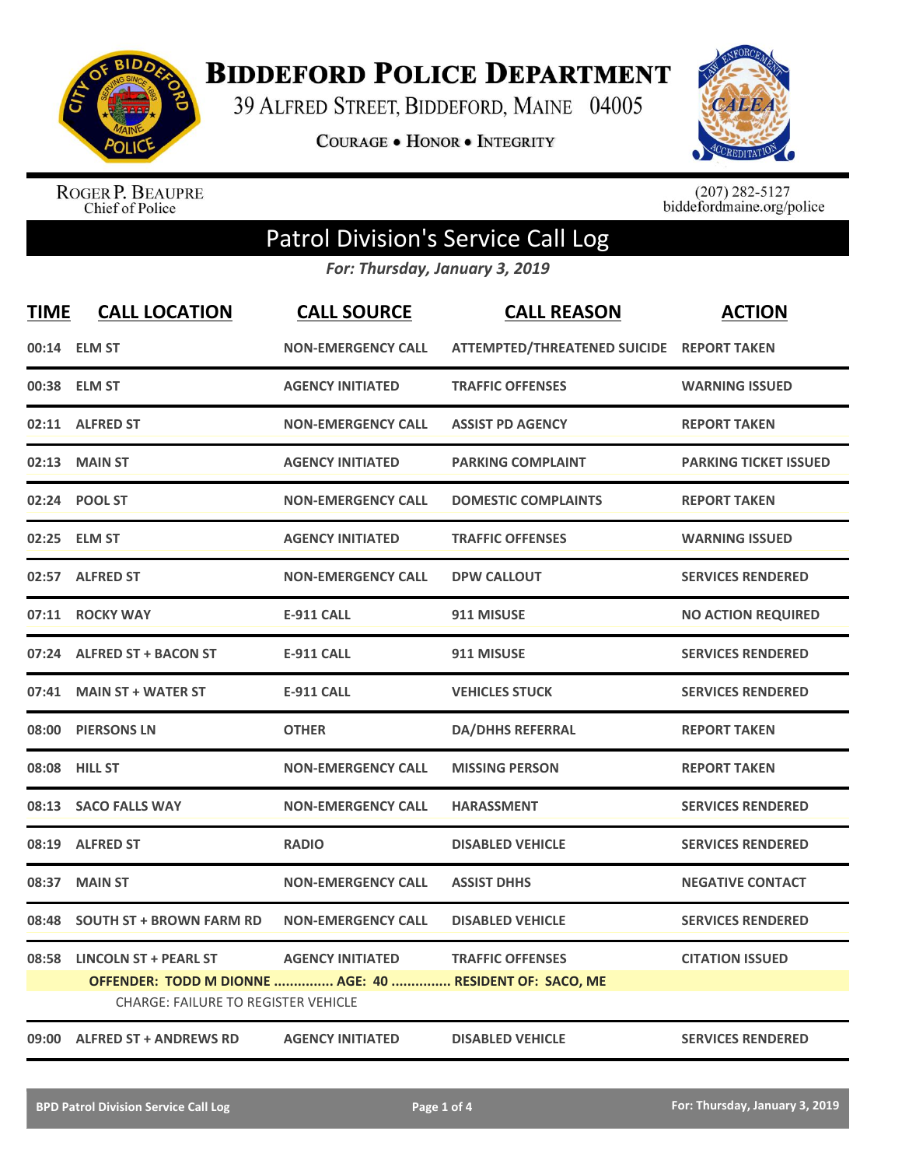

**BIDDEFORD POLICE DEPARTMENT** 

39 ALFRED STREET, BIDDEFORD, MAINE 04005

**COURAGE . HONOR . INTEGRITY** 



ROGER P. BEAUPRE<br>Chief of Police

 $(207)$  282-5127<br>biddefordmaine.org/police

## Patrol Division's Service Call Log

*For: Thursday, January 3, 2019*

| <b>TIME</b> | <b>CALL LOCATION</b>                                                                                  | <b>CALL SOURCE</b>        | <b>CALL REASON</b>                        | <b>ACTION</b>                |
|-------------|-------------------------------------------------------------------------------------------------------|---------------------------|-------------------------------------------|------------------------------|
|             | 00:14 ELM ST                                                                                          | <b>NON-EMERGENCY CALL</b> | ATTEMPTED/THREATENED SUICIDE REPORT TAKEN |                              |
| 00:38       | <b>ELM ST</b>                                                                                         | <b>AGENCY INITIATED</b>   | <b>TRAFFIC OFFENSES</b>                   | <b>WARNING ISSUED</b>        |
|             | 02:11 ALFRED ST                                                                                       | <b>NON-EMERGENCY CALL</b> | <b>ASSIST PD AGENCY</b>                   | <b>REPORT TAKEN</b>          |
| 02:13       | <b>MAIN ST</b>                                                                                        | <b>AGENCY INITIATED</b>   | <b>PARKING COMPLAINT</b>                  | <b>PARKING TICKET ISSUED</b> |
| 02:24       | <b>POOL ST</b>                                                                                        | <b>NON-EMERGENCY CALL</b> | <b>DOMESTIC COMPLAINTS</b>                | <b>REPORT TAKEN</b>          |
| 02:25       | <b>ELM ST</b>                                                                                         | <b>AGENCY INITIATED</b>   | <b>TRAFFIC OFFENSES</b>                   | <b>WARNING ISSUED</b>        |
|             | 02:57 ALFRED ST                                                                                       | <b>NON-EMERGENCY CALL</b> | <b>DPW CALLOUT</b>                        | <b>SERVICES RENDERED</b>     |
| 07:11       | <b>ROCKY WAY</b>                                                                                      | <b>E-911 CALL</b>         | 911 MISUSE                                | <b>NO ACTION REQUIRED</b>    |
| 07:24       | <b>ALFRED ST + BACON ST</b>                                                                           | <b>E-911 CALL</b>         | 911 MISUSE                                | <b>SERVICES RENDERED</b>     |
| 07:41       | <b>MAIN ST + WATER ST</b>                                                                             | <b>E-911 CALL</b>         | <b>VEHICLES STUCK</b>                     | <b>SERVICES RENDERED</b>     |
|             | 08:00 PIERSONS LN                                                                                     | <b>OTHER</b>              | <b>DA/DHHS REFERRAL</b>                   | <b>REPORT TAKEN</b>          |
| 08:08       | <b>HILL ST</b>                                                                                        | <b>NON-EMERGENCY CALL</b> | <b>MISSING PERSON</b>                     | <b>REPORT TAKEN</b>          |
| 08:13       | <b>SACO FALLS WAY</b>                                                                                 | <b>NON-EMERGENCY CALL</b> | <b>HARASSMENT</b>                         | <b>SERVICES RENDERED</b>     |
| 08:19       | <b>ALFRED ST</b>                                                                                      | <b>RADIO</b>              | <b>DISABLED VEHICLE</b>                   | <b>SERVICES RENDERED</b>     |
| 08:37       | <b>MAIN ST</b>                                                                                        | <b>NON-EMERGENCY CALL</b> | <b>ASSIST DHHS</b>                        | <b>NEGATIVE CONTACT</b>      |
| 08:48       | <b>SOUTH ST + BROWN FARM RD</b>                                                                       | <b>NON-EMERGENCY CALL</b> | <b>DISABLED VEHICLE</b>                   | <b>SERVICES RENDERED</b>     |
| 08:58       | <b>LINCOLN ST + PEARL ST</b>                                                                          | <b>AGENCY INITIATED</b>   | <b>TRAFFIC OFFENSES</b>                   | <b>CITATION ISSUED</b>       |
|             | OFFENDER: TODD M DIONNE  AGE: 40  RESIDENT OF: SACO, ME<br><b>CHARGE: FAILURE TO REGISTER VEHICLE</b> |                           |                                           |                              |
|             | 09:00 ALFRED ST + ANDREWS RD                                                                          | <b>AGENCY INITIATED</b>   | <b>DISABLED VEHICLE</b>                   | <b>SERVICES RENDERED</b>     |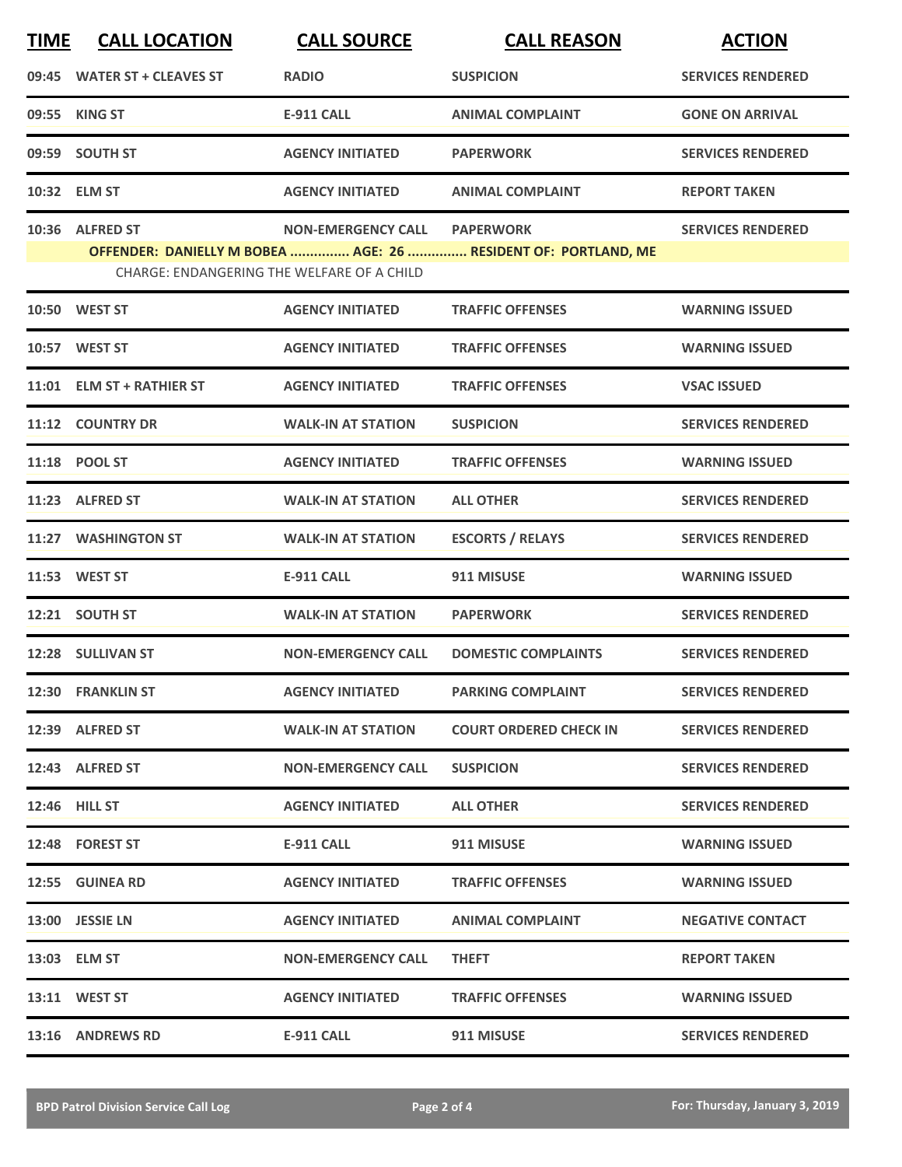| <b>TIME</b> | <b>CALL LOCATION</b>        | <b>CALL SOURCE</b>                                                      | <b>CALL REASON</b>                                                                 | <b>ACTION</b>            |
|-------------|-----------------------------|-------------------------------------------------------------------------|------------------------------------------------------------------------------------|--------------------------|
|             | 09:45 WATER ST + CLEAVES ST | <b>RADIO</b>                                                            | <b>SUSPICION</b>                                                                   | <b>SERVICES RENDERED</b> |
|             | 09:55 KING ST               | <b>E-911 CALL</b>                                                       | <b>ANIMAL COMPLAINT</b>                                                            | <b>GONE ON ARRIVAL</b>   |
|             | 09:59 SOUTH ST              | <b>AGENCY INITIATED</b>                                                 | <b>PAPERWORK</b>                                                                   | <b>SERVICES RENDERED</b> |
|             | 10:32 ELM ST                | <b>AGENCY INITIATED</b>                                                 | <b>ANIMAL COMPLAINT</b>                                                            | <b>REPORT TAKEN</b>      |
|             | 10:36 ALFRED ST             | <b>NON-EMERGENCY CALL</b><br>CHARGE: ENDANGERING THE WELFARE OF A CHILD | <b>PAPERWORK</b><br>OFFENDER: DANIELLY M BOBEA  AGE: 26  RESIDENT OF: PORTLAND, ME | <b>SERVICES RENDERED</b> |
|             | 10:50 WEST ST               | <b>AGENCY INITIATED</b>                                                 | <b>TRAFFIC OFFENSES</b>                                                            | <b>WARNING ISSUED</b>    |
|             | 10:57 WEST ST               | <b>AGENCY INITIATED</b>                                                 | <b>TRAFFIC OFFENSES</b>                                                            | <b>WARNING ISSUED</b>    |
|             | 11:01 ELM ST + RATHIER ST   | <b>AGENCY INITIATED</b>                                                 | <b>TRAFFIC OFFENSES</b>                                                            | <b>VSAC ISSUED</b>       |
|             | 11:12 COUNTRY DR            | <b>WALK-IN AT STATION</b>                                               | <b>SUSPICION</b>                                                                   | <b>SERVICES RENDERED</b> |
|             | 11:18 POOL ST               | <b>AGENCY INITIATED</b>                                                 | <b>TRAFFIC OFFENSES</b>                                                            | <b>WARNING ISSUED</b>    |
|             | 11:23 ALFRED ST             | <b>WALK-IN AT STATION</b>                                               | <b>ALL OTHER</b>                                                                   | <b>SERVICES RENDERED</b> |
|             | 11:27 WASHINGTON ST         | <b>WALK-IN AT STATION</b>                                               | <b>ESCORTS / RELAYS</b>                                                            | <b>SERVICES RENDERED</b> |
|             | 11:53 WEST ST               | <b>E-911 CALL</b>                                                       | 911 MISUSE                                                                         | <b>WARNING ISSUED</b>    |
|             | 12:21 SOUTH ST              | <b>WALK-IN AT STATION</b>                                               | <b>PAPERWORK</b>                                                                   | <b>SERVICES RENDERED</b> |
|             | 12:28 SULLIVAN ST           | <b>NON-EMERGENCY CALL</b>                                               | <b>DOMESTIC COMPLAINTS</b>                                                         | <b>SERVICES RENDERED</b> |
|             | 12:30 FRANKLIN ST           | <b>AGENCY INITIATED</b>                                                 | <b>PARKING COMPLAINT</b>                                                           | <b>SERVICES RENDERED</b> |
|             | 12:39 ALFRED ST             | <b>WALK-IN AT STATION</b>                                               | <b>COURT ORDERED CHECK IN</b>                                                      | <b>SERVICES RENDERED</b> |
|             | 12:43 ALFRED ST             | <b>NON-EMERGENCY CALL</b>                                               | <b>SUSPICION</b>                                                                   | <b>SERVICES RENDERED</b> |
|             | 12:46 HILL ST               | <b>AGENCY INITIATED</b>                                                 | <b>ALL OTHER</b>                                                                   | <b>SERVICES RENDERED</b> |
|             | 12:48 FOREST ST             | E-911 CALL                                                              | 911 MISUSE                                                                         | <b>WARNING ISSUED</b>    |
|             | 12:55 GUINEA RD             | <b>AGENCY INITIATED</b>                                                 | <b>TRAFFIC OFFENSES</b>                                                            | <b>WARNING ISSUED</b>    |
|             | 13:00 JESSIE LN             | <b>AGENCY INITIATED</b>                                                 | <b>ANIMAL COMPLAINT</b>                                                            | <b>NEGATIVE CONTACT</b>  |
|             | 13:03 ELM ST                | <b>NON-EMERGENCY CALL</b>                                               | <b>THEFT</b>                                                                       | <b>REPORT TAKEN</b>      |
|             | 13:11 WEST ST               | <b>AGENCY INITIATED</b>                                                 | <b>TRAFFIC OFFENSES</b>                                                            | <b>WARNING ISSUED</b>    |
|             | 13:16 ANDREWS RD            | E-911 CALL                                                              | 911 MISUSE                                                                         | <b>SERVICES RENDERED</b> |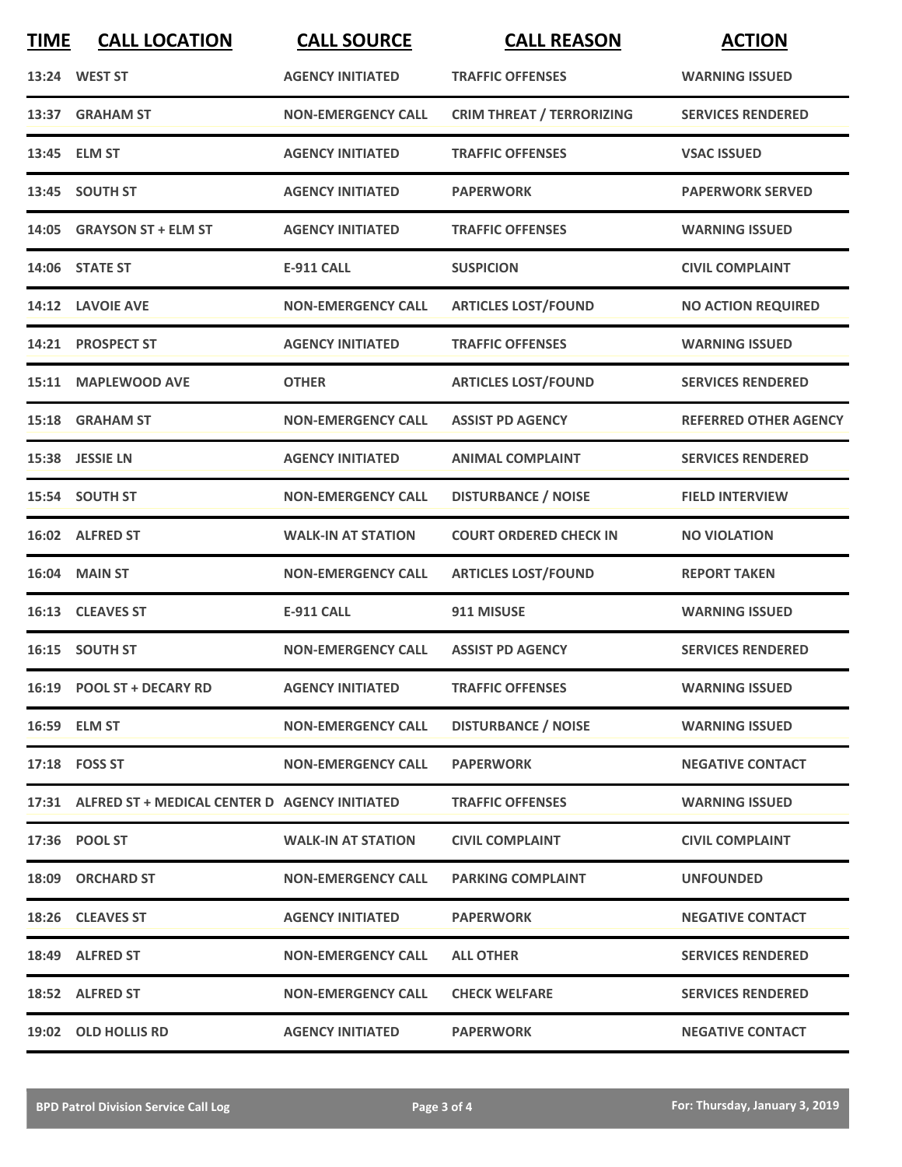| <b>TIME</b> | <b>CALL LOCATION</b>                                | <b>CALL SOURCE</b>        | <b>CALL REASON</b>               | <b>ACTION</b>                |
|-------------|-----------------------------------------------------|---------------------------|----------------------------------|------------------------------|
|             | 13:24 WEST ST                                       | <b>AGENCY INITIATED</b>   | <b>TRAFFIC OFFENSES</b>          | <b>WARNING ISSUED</b>        |
|             | 13:37 GRAHAM ST                                     | <b>NON-EMERGENCY CALL</b> | <b>CRIM THREAT / TERRORIZING</b> | <b>SERVICES RENDERED</b>     |
|             | 13:45 ELM ST                                        | <b>AGENCY INITIATED</b>   | <b>TRAFFIC OFFENSES</b>          | <b>VSAC ISSUED</b>           |
|             | 13:45 SOUTH ST                                      | <b>AGENCY INITIATED</b>   | <b>PAPERWORK</b>                 | <b>PAPERWORK SERVED</b>      |
|             | 14:05 GRAYSON ST + ELM ST                           | <b>AGENCY INITIATED</b>   | <b>TRAFFIC OFFENSES</b>          | <b>WARNING ISSUED</b>        |
|             | 14:06 STATE ST                                      | <b>E-911 CALL</b>         | <b>SUSPICION</b>                 | <b>CIVIL COMPLAINT</b>       |
|             | 14:12 LAVOIE AVE                                    | <b>NON-EMERGENCY CALL</b> | <b>ARTICLES LOST/FOUND</b>       | <b>NO ACTION REQUIRED</b>    |
|             | 14:21 PROSPECT ST                                   | <b>AGENCY INITIATED</b>   | <b>TRAFFIC OFFENSES</b>          | <b>WARNING ISSUED</b>        |
|             | 15:11 MAPLEWOOD AVE                                 | <b>OTHER</b>              | <b>ARTICLES LOST/FOUND</b>       | <b>SERVICES RENDERED</b>     |
|             | 15:18 GRAHAM ST                                     | <b>NON-EMERGENCY CALL</b> | <b>ASSIST PD AGENCY</b>          | <b>REFERRED OTHER AGENCY</b> |
|             | 15:38 JESSIE LN                                     | <b>AGENCY INITIATED</b>   | <b>ANIMAL COMPLAINT</b>          | <b>SERVICES RENDERED</b>     |
|             | 15:54 SOUTH ST                                      | <b>NON-EMERGENCY CALL</b> | <b>DISTURBANCE / NOISE</b>       | <b>FIELD INTERVIEW</b>       |
|             | 16:02 ALFRED ST                                     | <b>WALK-IN AT STATION</b> | <b>COURT ORDERED CHECK IN</b>    | <b>NO VIOLATION</b>          |
|             | 16:04 MAIN ST                                       | <b>NON-EMERGENCY CALL</b> | <b>ARTICLES LOST/FOUND</b>       | <b>REPORT TAKEN</b>          |
| 16:13       | <b>CLEAVES ST</b>                                   | <b>E-911 CALL</b>         | 911 MISUSE                       | <b>WARNING ISSUED</b>        |
|             | 16:15 SOUTH ST                                      | <b>NON-EMERGENCY CALL</b> | <b>ASSIST PD AGENCY</b>          | <b>SERVICES RENDERED</b>     |
|             | 16:19 POOL ST + DECARY RD                           | <b>AGENCY INITIATED</b>   | <b>TRAFFIC OFFENSES</b>          | <b>WARNING ISSUED</b>        |
|             | 16:59 ELM ST                                        | <b>NON-EMERGENCY CALL</b> | <b>DISTURBANCE / NOISE</b>       | <b>WARNING ISSUED</b>        |
|             | 17:18 FOSS ST                                       | <b>NON-EMERGENCY CALL</b> | <b>PAPERWORK</b>                 | <b>NEGATIVE CONTACT</b>      |
|             | 17:31 ALFRED ST + MEDICAL CENTER D AGENCY INITIATED |                           | <b>TRAFFIC OFFENSES</b>          | <b>WARNING ISSUED</b>        |
|             | 17:36 POOL ST                                       | <b>WALK-IN AT STATION</b> | <b>CIVIL COMPLAINT</b>           | <b>CIVIL COMPLAINT</b>       |
|             | 18:09 ORCHARD ST                                    | <b>NON-EMERGENCY CALL</b> | <b>PARKING COMPLAINT</b>         | <b>UNFOUNDED</b>             |
|             | 18:26 CLEAVES ST                                    | <b>AGENCY INITIATED</b>   | <b>PAPERWORK</b>                 | <b>NEGATIVE CONTACT</b>      |
|             | 18:49 ALFRED ST                                     | <b>NON-EMERGENCY CALL</b> | <b>ALL OTHER</b>                 | <b>SERVICES RENDERED</b>     |
|             | 18:52 ALFRED ST                                     | <b>NON-EMERGENCY CALL</b> | <b>CHECK WELFARE</b>             | <b>SERVICES RENDERED</b>     |
|             | 19:02 OLD HOLLIS RD                                 | <b>AGENCY INITIATED</b>   | <b>PAPERWORK</b>                 | <b>NEGATIVE CONTACT</b>      |